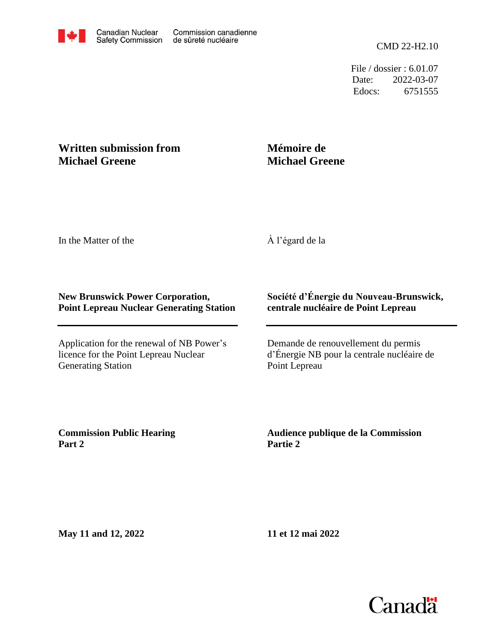File / dossier : 6.01.07 Date: 2022-03-07 Edocs: 6751555

## **Written submission from Michael Greene**

## **Mémoire de Michael Greene**

In the Matter of the

À l'égard de la

## **New Brunswick Power Corporation, Point Lepreau Nuclear Generating Station**

Application for the renewal of NB Power's licence for the Point Lepreau Nuclear Generating Station

## **Société d'Énergie du Nouveau-Brunswick, centrale nucléaire de Point Lepreau**

Demande de renouvellement du permis d'Énergie NB pour la centrale nucléaire de Point Lepreau

**Commission Public Hearing Part 2**

**Audience publique de la Commission Partie 2**

**May 11 and 12, 2022**

**11 et 12 mai 2022**